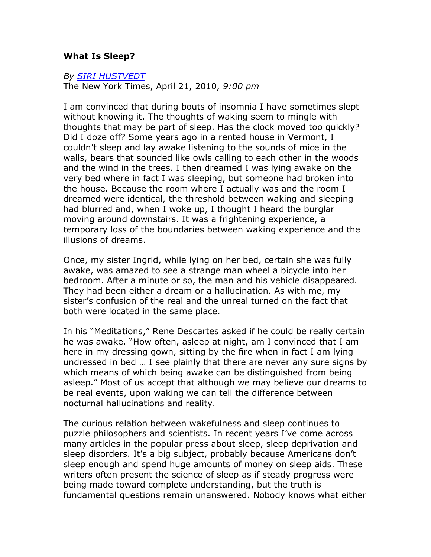## **What Is Sleep?**

## *By [SIRI HUSTVEDT](http://opinionator.blogs.nytimes.com/author/siri-hustvedt/)*

The New York Times, April 21, 2010, *9:00 pm*

I am convinced that during bouts of insomnia I have sometimes slept without knowing it. The thoughts of waking seem to mingle with thoughts that may be part of sleep. Has the clock moved too quickly? Did I doze off? Some years ago in a rented house in Vermont, I couldn't sleep and lay awake listening to the sounds of mice in the walls, bears that sounded like owls calling to each other in the woods and the wind in the trees. I then dreamed I was lying awake on the very bed where in fact I was sleeping, but someone had broken into the house. Because the room where I actually was and the room I dreamed were identical, the threshold between waking and sleeping had blurred and, when I woke up, I thought I heard the burglar moving around downstairs. It was a frightening experience, a temporary loss of the boundaries between waking experience and the illusions of dreams.

Once, my sister Ingrid, while lying on her bed, certain she was fully awake, was amazed to see a strange man wheel a bicycle into her bedroom. After a minute or so, the man and his vehicle disappeared. They had been either a dream or a hallucination. As with me, my sister's confusion of the real and the unreal turned on the fact that both were located in the same place.

In his "Meditations," Rene Descartes asked if he could be really certain he was awake. "How often, asleep at night, am I convinced that I am here in my dressing gown, sitting by the fire when in fact I am lying undressed in bed … I see plainly that there are never any sure signs by which means of which being awake can be distinguished from being asleep." Most of us accept that although we may believe our dreams to be real events, upon waking we can tell the difference between nocturnal hallucinations and reality.

The curious relation between wakefulness and sleep continues to puzzle philosophers and scientists. In recent years I've come across many articles in the popular press about sleep, sleep deprivation and sleep disorders. It's a big subject, probably because Americans don't sleep enough and spend huge amounts of money on sleep aids. These writers often present the science of sleep as if steady progress were being made toward complete understanding, but the truth is fundamental questions remain unanswered. Nobody knows what either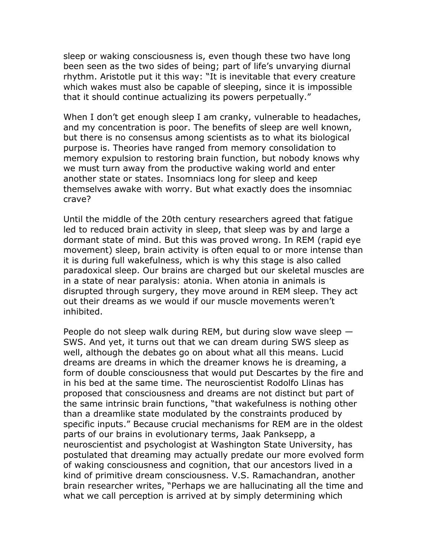sleep or waking consciousness is, even though these two have long been seen as the two sides of being; part of life's unvarying diurnal rhythm. Aristotle put it this way: "It is inevitable that every creature which wakes must also be capable of sleeping, since it is impossible that it should continue actualizing its powers perpetually."

When I don't get enough sleep I am cranky, vulnerable to headaches, and my concentration is poor. The benefits of sleep are well known, but there is no consensus among scientists as to what its biological purpose is. Theories have ranged from memory consolidation to memory expulsion to restoring brain function, but nobody knows why we must turn away from the productive waking world and enter another state or states. Insomniacs long for sleep and keep themselves awake with worry. But what exactly does the insomniac crave?

Until the middle of the 20th century researchers agreed that fatigue led to reduced brain activity in sleep, that sleep was by and large a dormant state of mind. But this was proved wrong. In REM (rapid eye movement) sleep, brain activity is often equal to or more intense than it is during full wakefulness, which is why this stage is also called paradoxical sleep. Our brains are charged but our skeletal muscles are in a state of near paralysis: atonia. When atonia in animals is disrupted through surgery, they move around in REM sleep. They act out their dreams as we would if our muscle movements weren't inhibited.

People do not sleep walk during REM, but during slow wave sleep — SWS. And yet, it turns out that we can dream during SWS sleep as well, although the debates go on about what all this means. Lucid dreams are dreams in which the dreamer knows he is dreaming, a form of double consciousness that would put Descartes by the fire and in his bed at the same time. The neuroscientist Rodolfo Llinas has proposed that consciousness and dreams are not distinct but part of the same intrinsic brain functions, "that wakefulness is nothing other than a dreamlike state modulated by the constraints produced by specific inputs." Because crucial mechanisms for REM are in the oldest parts of our brains in evolutionary terms, Jaak Panksepp, a neuroscientist and psychologist at Washington State University, has postulated that dreaming may actually predate our more evolved form of waking consciousness and cognition, that our ancestors lived in a kind of primitive dream consciousness. V.S. Ramachandran, another brain researcher writes, "Perhaps we are hallucinating all the time and what we call perception is arrived at by simply determining which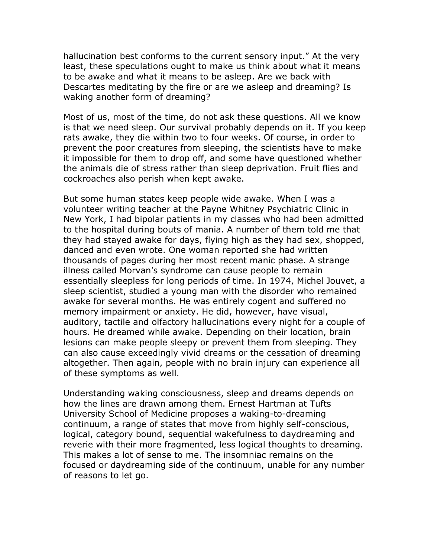hallucination best conforms to the current sensory input." At the very least, these speculations ought to make us think about what it means to be awake and what it means to be asleep. Are we back with Descartes meditating by the fire or are we asleep and dreaming? Is waking another form of dreaming?

Most of us, most of the time, do not ask these questions. All we know is that we need sleep. Our survival probably depends on it. If you keep rats awake, they die within two to four weeks. Of course, in order to prevent the poor creatures from sleeping, the scientists have to make it impossible for them to drop off, and some have questioned whether the animals die of stress rather than sleep deprivation. Fruit flies and cockroaches also perish when kept awake.

But some human states keep people wide awake. When I was a volunteer writing teacher at the Payne Whitney Psychiatric Clinic in New York, I had bipolar patients in my classes who had been admitted to the hospital during bouts of mania. A number of them told me that they had stayed awake for days, flying high as they had sex, shopped, danced and even wrote. One woman reported she had written thousands of pages during her most recent manic phase. A strange illness called Morvan's syndrome can cause people to remain essentially sleepless for long periods of time. In 1974, Michel Jouvet, a sleep scientist, studied a young man with the disorder who remained awake for several months. He was entirely cogent and suffered no memory impairment or anxiety. He did, however, have visual, auditory, tactile and olfactory hallucinations every night for a couple of hours. He dreamed while awake. Depending on their location, brain lesions can make people sleepy or prevent them from sleeping. They can also cause exceedingly vivid dreams or the cessation of dreaming altogether. Then again, people with no brain injury can experience all of these symptoms as well.

Understanding waking consciousness, sleep and dreams depends on how the lines are drawn among them. Ernest Hartman at Tufts University School of Medicine proposes a waking-to-dreaming continuum, a range of states that move from highly self-conscious, logical, category bound, sequential wakefulness to daydreaming and reverie with their more fragmented, less logical thoughts to dreaming. This makes a lot of sense to me. The insomniac remains on the focused or daydreaming side of the continuum, unable for any number of reasons to let go.